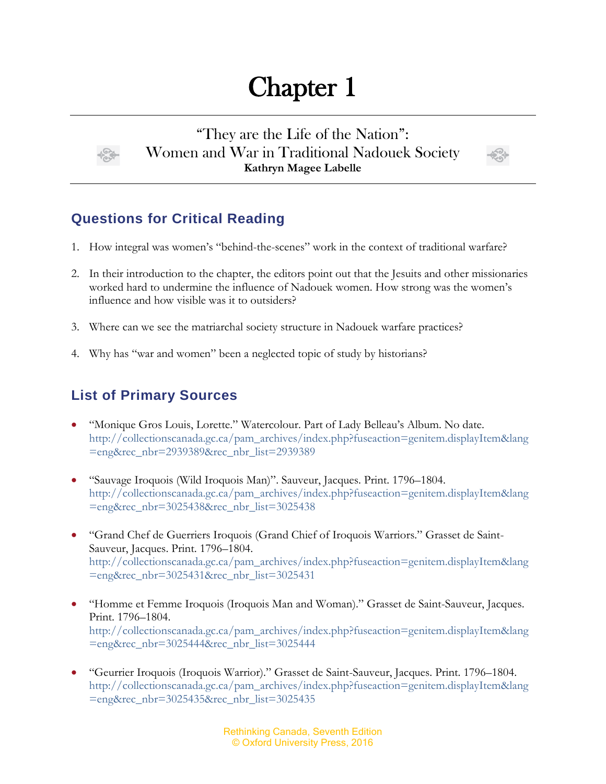## Chapter 1



"They are the Life of the Nation": Women and War in Traditional Nadouek Society **Kathryn Magee Labelle**



## **Questions for Critical Reading**

- 1. How integral was women's "behind-the-scenes" work in the context of traditional warfare?
- 2. In their introduction to the chapter, the editors point out that the Jesuits and other missionaries worked hard to undermine the influence of Nadouek women. How strong was the women's influence and how visible was it to outsiders?
- 3. Where can we see the matriarchal society structure in Nadouek warfare practices?
- 4. Why has "war and women" been a neglected topic of study by historians?

## **List of Primary Sources**

- "Monique Gros Louis, Lorette." Watercolour. Part of Lady Belleau's Album. No date. [http://collectionscanada.gc.ca/pam\\_archives/index.php?fuseaction=genitem.displayItem&lang](http://collectionscanada.gc.ca/pam_archives/index.php?fuseaction=genitem.displayItem&lang=eng&rec_nbr=2939389&rec_nbr_list=2939389) [=eng&rec\\_nbr=2939389&rec\\_nbr\\_list=2939389](http://collectionscanada.gc.ca/pam_archives/index.php?fuseaction=genitem.displayItem&lang=eng&rec_nbr=2939389&rec_nbr_list=2939389)
- "Sauvage Iroquois (Wild Iroquois Man)". Sauveur, Jacques. Print. 1796–1804. [http://collectionscanada.gc.ca/pam\\_archives/index.php?fuseaction=genitem.displayItem&lang](http://collectionscanada.gc.ca/pam_archives/index.php?fuseaction=genitem.displayItem&lang=eng&rec_nbr=3025438&rec_nbr_list=3025438) [=eng&rec\\_nbr=3025438&rec\\_nbr\\_list=3025438](http://collectionscanada.gc.ca/pam_archives/index.php?fuseaction=genitem.displayItem&lang=eng&rec_nbr=3025438&rec_nbr_list=3025438)
- "Grand Chef de Guerriers Iroquois (Grand Chief of Iroquois Warriors." Grasset de Saint-Sauveur, Jacques. Print. 1796–1804. [http://collectionscanada.gc.ca/pam\\_archives/index.php?fuseaction=genitem.displayItem&lang](http://collectionscanada.gc.ca/pam_archives/index.php?fuseaction=genitem.displayItem&lang=eng&rec_nbr=3025431&rec_nbr_list=3025431) [=eng&rec\\_nbr=3025431&rec\\_nbr\\_list=3025431](http://collectionscanada.gc.ca/pam_archives/index.php?fuseaction=genitem.displayItem&lang=eng&rec_nbr=3025431&rec_nbr_list=3025431)
- "Homme et Femme Iroquois (Iroquois Man and Woman)." Grasset de Saint-Sauveur, Jacques. Print. 1796–1804. [http://collectionscanada.gc.ca/pam\\_archives/index.php?fuseaction=genitem.displayItem&lang](http://collectionscanada.gc.ca/pam_archives/index.php?fuseaction=genitem.displayItem&lang=eng&rec_nbr=3025444&rec_nbr_list=3025444) [=eng&rec\\_nbr=3025444&rec\\_nbr\\_list=3025444](http://collectionscanada.gc.ca/pam_archives/index.php?fuseaction=genitem.displayItem&lang=eng&rec_nbr=3025444&rec_nbr_list=3025444)
- "Geurrier Iroquois (Iroquois Warrior)." Grasset de Saint-Sauveur, Jacques. Print. 1796–1804. [http://collectionscanada.gc.ca/pam\\_archives/index.php?fuseaction=genitem.displayItem&lang](http://collectionscanada.gc.ca/pam_archives/index.php?fuseaction=genitem.displayItem&lang=eng&rec_nbr=3025435&rec_nbr_list=3025435) [=eng&rec\\_nbr=3025435&rec\\_nbr\\_list=3025435](http://collectionscanada.gc.ca/pam_archives/index.php?fuseaction=genitem.displayItem&lang=eng&rec_nbr=3025435&rec_nbr_list=3025435)

Rethinking Canada, Seventh Edition © Oxford University Press, 2016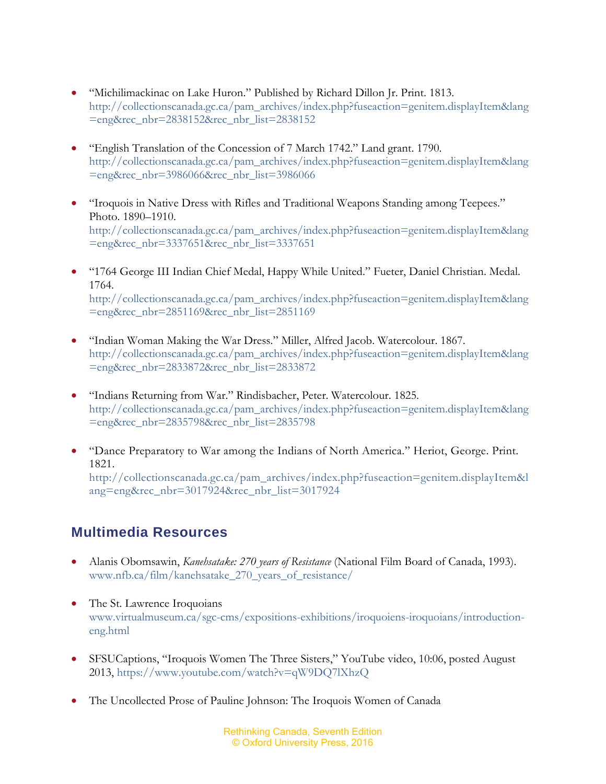- "Michilimackinac on Lake Huron." Published by Richard Dillon Jr. Print. 1813. [http://collectionscanada.gc.ca/pam\\_archives/index.php?fuseaction=genitem.displayItem&lang](http://collectionscanada.gc.ca/pam_archives/index.php?fuseaction=genitem.displayItem&lang=eng&rec_nbr=2838152&rec_nbr_list=2838152) [=eng&rec\\_nbr=2838152&rec\\_nbr\\_list=2838152](http://collectionscanada.gc.ca/pam_archives/index.php?fuseaction=genitem.displayItem&lang=eng&rec_nbr=2838152&rec_nbr_list=2838152)
- "English Translation of the Concession of 7 March 1742." Land grant. 1790. [http://collectionscanada.gc.ca/pam\\_archives/index.php?fuseaction=genitem.displayItem&lang](http://collectionscanada.gc.ca/pam_archives/index.php?fuseaction=genitem.displayItem&lang=eng&rec_nbr=3986066&rec_nbr_list=3986066) [=eng&rec\\_nbr=3986066&rec\\_nbr\\_list=3986066](http://collectionscanada.gc.ca/pam_archives/index.php?fuseaction=genitem.displayItem&lang=eng&rec_nbr=3986066&rec_nbr_list=3986066)
- "Iroquois in Native Dress with Rifles and Traditional Weapons Standing among Teepees." Photo. 1890–1910. [http://collectionscanada.gc.ca/pam\\_archives/index.php?fuseaction=genitem.displayItem&lang](http://collectionscanada.gc.ca/pam_archives/index.php?fuseaction=genitem.displayItem&lang=eng&rec_nbr=3337651&rec_nbr_list=3337651) [=eng&rec\\_nbr=3337651&rec\\_nbr\\_list=3337651](http://collectionscanada.gc.ca/pam_archives/index.php?fuseaction=genitem.displayItem&lang=eng&rec_nbr=3337651&rec_nbr_list=3337651)
- "1764 George III Indian Chief Medal, Happy While United." Fueter, Daniel Christian. Medal. 1764. [http://collectionscanada.gc.ca/pam\\_archives/index.php?fuseaction=genitem.displayItem&lang](http://collectionscanada.gc.ca/pam_archives/index.php?fuseaction=genitem.displayItem&lang=eng&rec_nbr=2851169&rec_nbr_list=2851169) [=eng&rec\\_nbr=2851169&rec\\_nbr\\_list=2851169](http://collectionscanada.gc.ca/pam_archives/index.php?fuseaction=genitem.displayItem&lang=eng&rec_nbr=2851169&rec_nbr_list=2851169)
- "Indian Woman Making the War Dress." Miller, Alfred Jacob. Watercolour. 1867. [http://collectionscanada.gc.ca/pam\\_archives/index.php?fuseaction=genitem.displayItem&lang](http://collectionscanada.gc.ca/pam_archives/index.php?fuseaction=genitem.displayItem&lang=eng&rec_nbr=2833872&rec_nbr_list=2833872) [=eng&rec\\_nbr=2833872&rec\\_nbr\\_list=2833872](http://collectionscanada.gc.ca/pam_archives/index.php?fuseaction=genitem.displayItem&lang=eng&rec_nbr=2833872&rec_nbr_list=2833872)
- "Indians Returning from War." Rindisbacher, Peter. Watercolour. 1825. [http://collectionscanada.gc.ca/pam\\_archives/index.php?fuseaction=genitem.displayItem&lang](http://collectionscanada.gc.ca/pam_archives/index.php?fuseaction=genitem.displayItem&lang=eng&rec_nbr=2835798&rec_nbr_list=2835798) [=eng&rec\\_nbr=2835798&rec\\_nbr\\_list=2835798](http://collectionscanada.gc.ca/pam_archives/index.php?fuseaction=genitem.displayItem&lang=eng&rec_nbr=2835798&rec_nbr_list=2835798)
- "Dance Preparatory to War among the Indians of North America." Heriot, George. Print. 1821.

[http://collectionscanada.gc.ca/pam\\_archives/index.php?fuseaction=genitem.displayItem&l](http://collectionscanada.gc.ca/pam_archives/index.php?fuseaction=genitem.displayItem&lang=eng&rec_nbr=3017924&rec_nbr_list=3017924) [ang=eng&rec\\_nbr=3017924&rec\\_nbr\\_list=3017924](http://collectionscanada.gc.ca/pam_archives/index.php?fuseaction=genitem.displayItem&lang=eng&rec_nbr=3017924&rec_nbr_list=3017924)

## **Multimedia Resources**

- Alanis Obomsawin, *Kanehsatake: 270 years of Resistance* (National Film Board of Canada, 1993). [www.nfb.ca/film/kanehsatake\\_270\\_years\\_of\\_resistance/](http://www.nfb.ca/film/kanehsatake_270_years_of_resistance/)
- The St. Lawrence Iroquoians [www.virtualmuseum.ca/sgc-cms/expositions-exhibitions/iroquoiens-iroquoians/introduction](http://www.virtualmuseum.ca/sgc-cms/expositions-exhibitions/iroquoiens-iroquoians/introduction-eng.html)[eng.html](http://www.virtualmuseum.ca/sgc-cms/expositions-exhibitions/iroquoiens-iroquoians/introduction-eng.html)
- SFSUCaptions, "Iroquois Women The Three Sisters," YouTube video, 10:06, posted August 2013,<https://www.youtube.com/watch?v=qW9DQ7lXhzQ>
- The Uncollected Prose of Pauline Johnson: The Iroquois Women of Canada